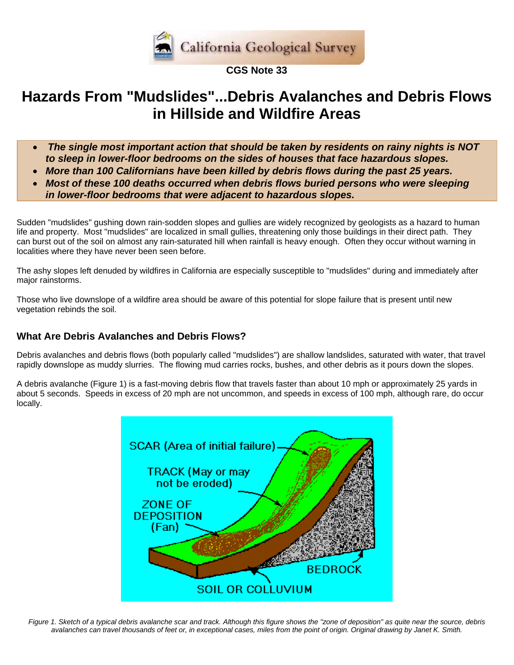

#### **CGS Note 33**

# **Hazards From "Mudslides"...Debris Avalanches and Debris Flows in Hillside and Wildfire Areas**

- *The single most important action that should be taken by residents on rainy nights is NOT to sleep in lower-floor bedrooms on the sides of houses that face hazardous slopes.*
- *More than 100 Californians have been killed by debris flows during the past 25 years.*
- *Most of these 100 deaths occurred when debris flows buried persons who were sleeping in lower-floor bedrooms that were adjacent to hazardous slopes.*

Sudden "mudslides" gushing down rain-sodden slopes and gullies are widely recognized by geologists as a hazard to human life and property. Most "mudslides" are localized in small gullies, threatening only those buildings in their direct path. They can burst out of the soil on almost any rain-saturated hill when rainfall is heavy enough. Often they occur without warning in localities where they have never been seen before.

The ashy slopes left denuded by wildfires in California are especially susceptible to "mudslides" during and immediately after major rainstorms.

Those who live downslope of a wildfire area should be aware of this potential for slope failure that is present until new vegetation rebinds the soil.

#### **What Are Debris Avalanches and Debris Flows?**

Debris avalanches and debris flows (both popularly called "mudslides") are shallow landslides, saturated with water, that travel rapidly downslope as muddy slurries. The flowing mud carries rocks, bushes, and other debris as it pours down the slopes.

A debris avalanche (Figure 1) is a fast-moving debris flow that travels faster than about 10 mph or approximately 25 yards in about 5 seconds. Speeds in excess of 20 mph are not uncommon, and speeds in excess of 100 mph, although rare, do occur locally.



*Figure 1. Sketch of a typical debris avalanche scar and track. Although this figure shows the "zone of deposition" as quite near the source, debris avalanches can travel thousands of feet or, in exceptional cases, miles from the point of origin. Original drawing by Janet K. Smith.*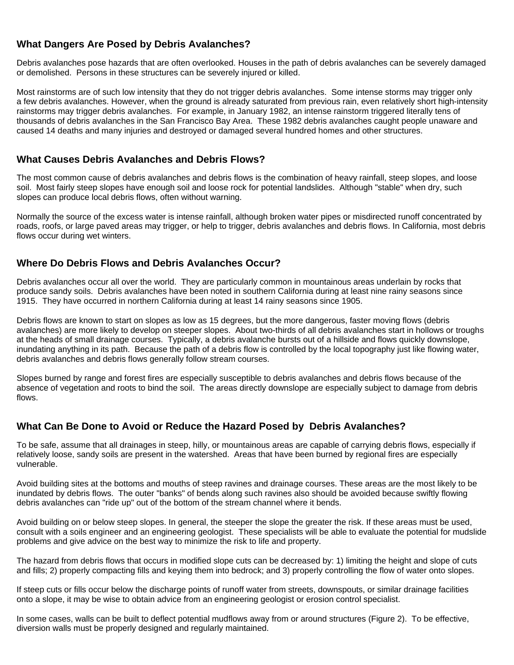## **What Dangers Are Posed by Debris Avalanches?**

Debris avalanches pose hazards that are often overlooked. Houses in the path of debris avalanches can be severely damaged or demolished. Persons in these structures can be severely injured or killed.

Most rainstorms are of such low intensity that they do not trigger debris avalanches. Some intense storms may trigger only a few debris avalanches. However, when the ground is already saturated from previous rain, even relatively short high-intensity rainstorms may trigger debris avalanches. For example, in January 1982, an intense rainstorm triggered literally tens of thousands of debris avalanches in the San Francisco Bay Area. These 1982 debris avalanches caught people unaware and caused 14 deaths and many injuries and destroyed or damaged several hundred homes and other structures.

#### **What Causes Debris Avalanches and Debris Flows?**

The most common cause of debris avalanches and debris flows is the combination of heavy rainfall, steep slopes, and loose soil. Most fairly steep slopes have enough soil and loose rock for potential landslides. Although "stable" when dry, such slopes can produce local debris flows, often without warning.

Normally the source of the excess water is intense rainfall, although broken water pipes or misdirected runoff concentrated by roads, roofs, or large paved areas may trigger, or help to trigger, debris avalanches and debris flows. In California, most debris flows occur during wet winters.

## **Where Do Debris Flows and Debris Avalanches Occur?**

Debris avalanches occur all over the world. They are particularly common in mountainous areas underlain by rocks that produce sandy soils. Debris avalanches have been noted in southern California during at least nine rainy seasons since 1915. They have occurred in northern California during at least 14 rainy seasons since 1905.

Debris flows are known to start on slopes as low as 15 degrees, but the more dangerous, faster moving flows (debris avalanches) are more likely to develop on steeper slopes. About two-thirds of all debris avalanches start in hollows or troughs at the heads of small drainage courses. Typically, a debris avalanche bursts out of a hillside and flows quickly downslope, inundating anything in its path. Because the path of a debris flow is controlled by the local topography just like flowing water, debris avalanches and debris flows generally follow stream courses.

Slopes burned by range and forest fires are especially susceptible to debris avalanches and debris flows because of the absence of vegetation and roots to bind the soil. The areas directly downslope are especially subject to damage from debris flows.

#### **What Can Be Done to Avoid or Reduce the Hazard Posed by Debris Avalanches?**

To be safe, assume that all drainages in steep, hilly, or mountainous areas are capable of carrying debris flows, especially if relatively loose, sandy soils are present in the watershed. Areas that have been burned by regional fires are especially vulnerable.

Avoid building sites at the bottoms and mouths of steep ravines and drainage courses. These areas are the most likely to be inundated by debris flows. The outer "banks" of bends along such ravines also should be avoided because swiftly flowing debris avalanches can "ride up" out of the bottom of the stream channel where it bends.

Avoid building on or below steep slopes. In general, the steeper the slope the greater the risk. If these areas must be used, consult with a soils engineer and an engineering geologist. These specialists will be able to evaluate the potential for mudslide problems and give advice on the best way to minimize the risk to life and property.

The hazard from debris flows that occurs in modified slope cuts can be decreased by: 1) limiting the height and slope of cuts and fills; 2) properly compacting fills and keying them into bedrock; and 3) properly controlling the flow of water onto slopes.

If steep cuts or fills occur below the discharge points of runoff water from streets, downspouts, or similar drainage facilities onto a slope, it may be wise to obtain advice from an engineering geologist or erosion control specialist.

In some cases, walls can be built to deflect potential mudflows away from or around structures (Figure 2). To be effective, diversion walls must be properly designed and regularly maintained.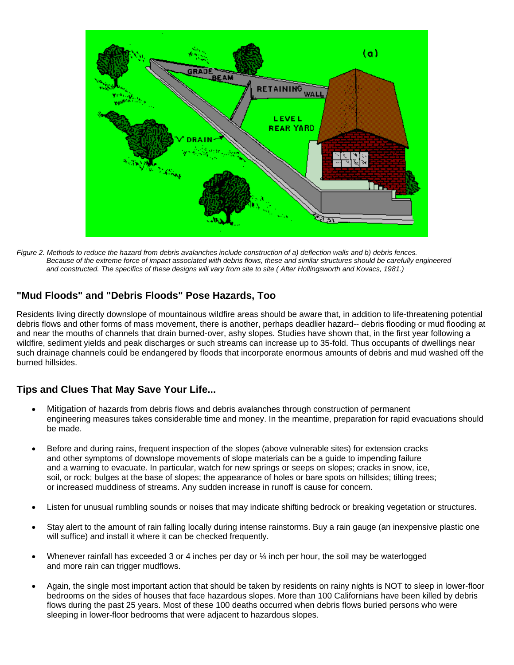

*Figure 2. Methods to reduce the hazard from debris avalanches include construction of a) deflection walls and b) debris fences. Because of the extreme force of impact associated with debris flows, these and similar structures should be carefully engineered*  and constructed. The specifics of these designs will vary from site to site (After Hollingsworth and Kovacs, 1981.)

#### **"Mud Floods" and "Debris Floods" Pose Hazards, Too**

Residents living directly downslope of mountainous wildfire areas should be aware that, in addition to life-threatening potential debris flows and other forms of mass movement, there is another, perhaps deadlier hazard-- debris flooding or mud flooding at and near the mouths of channels that drain burned-over, ashy slopes. Studies have shown that, in the first year following a wildfire, sediment yields and peak discharges or such streams can increase up to 35-fold. Thus occupants of dwellings near such drainage channels could be endangered by floods that incorporate enormous amounts of debris and mud washed off the burned hillsides.

#### **Tips and Clues That May Save Your Life...**

- Mitigation of hazards from debris flows and debris avalanches through construction of permanent engineering measures takes considerable time and money. In the meantime, preparation for rapid evacuations should be made.
- Before and during rains, frequent inspection of the slopes (above vulnerable sites) for extension cracks and other symptoms of downslope movements of slope materials can be a guide to impending failure and a warning to evacuate. In particular, watch for new springs or seeps on slopes; cracks in snow, ice, soil, or rock; bulges at the base of slopes; the appearance of holes or bare spots on hillsides; tilting trees; or increased muddiness of streams. Any sudden increase in runoff is cause for concern.
- Listen for unusual rumbling sounds or noises that may indicate shifting bedrock or breaking vegetation or structures.
- Stay alert to the amount of rain falling locally during intense rainstorms. Buy a rain gauge (an inexpensive plastic one will suffice) and install it where it can be checked frequently.
- Whenever rainfall has exceeded 3 or 4 inches per day or  $\frac{1}{4}$  inch per hour, the soil may be waterlogged and more rain can trigger mudflows.
- Again, the single most important action that should be taken by residents on rainy nights is NOT to sleep in lower-floor bedrooms on the sides of houses that face hazardous slopes. More than 100 Californians have been killed by debris flows during the past 25 years. Most of these 100 deaths occurred when debris flows buried persons who were sleeping in lower-floor bedrooms that were adjacent to hazardous slopes.